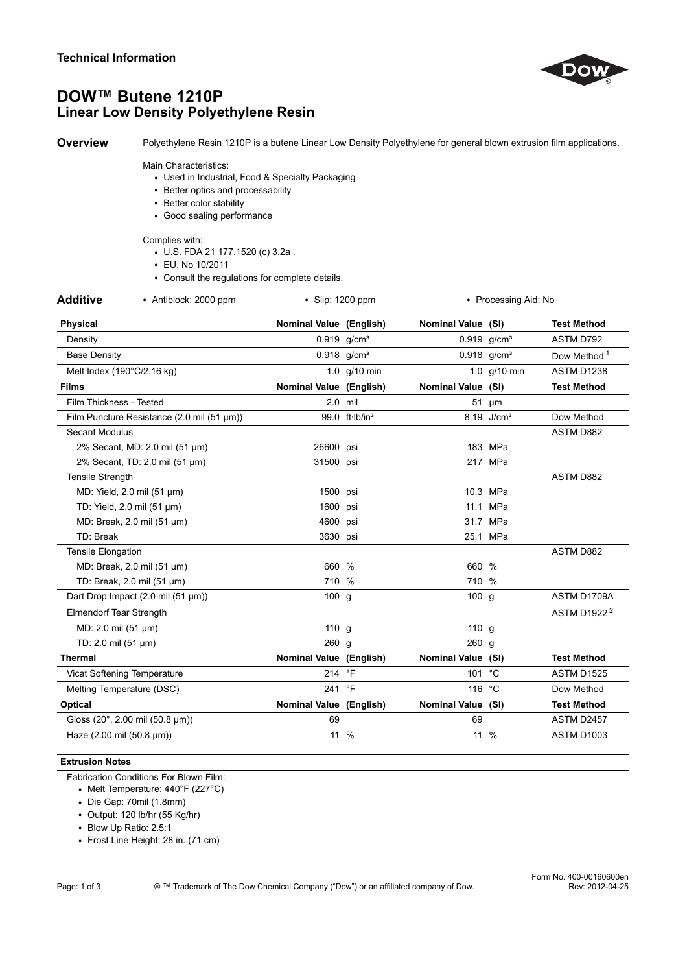

# DOW™ Butene 1210P Linear Low Density Polyethylene Resin

Overview Polyethylene Resin 1210P is a butene Linear Low Density Polyethylene for general blown extrusion film applications.

#### Main Characteristics:

- Used in Industrial, Food & Specialty Packaging
- Better optics and processability
- Better color stability
- Good sealing performance

#### Complies with:

- U.S. FDA 21 177.1520 (c) 3.2a .
- EU. No 10/2011
- Consult the regulations for complete details.

|  | <b>Additive</b> |  |  |  |  |
|--|-----------------|--|--|--|--|
|--|-----------------|--|--|--|--|

• Antiblock: 2000 ppm • Slip: 1200 ppm • Processing Aid: No

| <b>Physical</b>                            | Nominal Value (English) |                            | Nominal Value (SI) |                           | <b>Test Method</b>      |
|--------------------------------------------|-------------------------|----------------------------|--------------------|---------------------------|-------------------------|
| Density                                    |                         | $0.919$ g/cm <sup>3</sup>  |                    | $0.919$ g/cm <sup>3</sup> | ASTM D792               |
| <b>Base Density</b>                        |                         | $0.918$ g/cm <sup>3</sup>  |                    | $0.918$ g/cm <sup>3</sup> | Dow Method <sup>1</sup> |
| Melt Index (190°C/2.16 kg)                 |                         | 1.0 g/10 min               |                    | 1.0 g/10 min              | ASTM D1238              |
| <b>Films</b>                               | Nominal Value (English) |                            | Nominal Value (SI) |                           | <b>Test Method</b>      |
| Film Thickness - Tested                    | $2.0$ mil               |                            |                    | 51 um                     |                         |
| Film Puncture Resistance (2.0 mil (51 µm)) |                         | 99.0 ft-lb/in <sup>3</sup> |                    | 8.19 J/cm <sup>3</sup>    | Dow Method              |
| <b>Secant Modulus</b>                      |                         |                            |                    |                           | ASTM D882               |
| 2% Secant, MD: 2.0 mil (51 µm)             | 26600 psi               |                            |                    | 183 MPa                   |                         |
| 2% Secant, TD: 2.0 mil (51 µm)             | 31500 psi               |                            |                    | 217 MPa                   |                         |
| <b>Tensile Strength</b>                    |                         |                            |                    |                           | <b>ASTM D882</b>        |
| MD: Yield, 2.0 mil (51 µm)                 | 1500 psi                |                            |                    | 10.3 MPa                  |                         |
| TD: Yield, 2.0 mil (51 µm)                 | 1600 psi                |                            |                    | 11.1 MPa                  |                         |
| MD: Break, 2.0 mil (51 µm)                 | 4600 psi                |                            |                    | 31.7 MPa                  |                         |
| TD: Break                                  | 3630 psi                |                            |                    | 25.1 MPa                  |                         |
| <b>Tensile Elongation</b>                  |                         |                            |                    |                           | ASTM D882               |
| MD: Break, 2.0 mil (51 µm)                 | 660 %                   |                            | 660 %              |                           |                         |
| TD: Break, 2.0 mil (51 µm)                 | 710 %                   |                            | 710 %              |                           |                         |
| Dart Drop Impact (2.0 mil (51 µm))         | 100 g                   |                            | 100 g              |                           | ASTM D1709A             |
| <b>Elmendorf Tear Strength</b>             |                         |                            |                    |                           | ASTM D1922 <sup>2</sup> |
| MD: 2.0 mil (51 µm)                        | $110$ g                 |                            | 110 g              |                           |                         |
| TD: 2.0 mil $(51 \mu m)$                   | 260 g                   |                            | 260 g              |                           |                         |
| <b>Thermal</b>                             | Nominal Value (English) |                            | Nominal Value (SI) |                           | <b>Test Method</b>      |
| Vicat Softening Temperature                | 214 °F                  |                            | 101                | $^{\circ}C$               | ASTM D1525              |
| Melting Temperature (DSC)                  | 241 °F                  |                            | 116 °C             |                           | Dow Method              |
| Optical                                    | Nominal Value (English) |                            | Nominal Value (SI) |                           | <b>Test Method</b>      |
| Gloss (20°, 2.00 mil (50.8 µm))            | 69                      |                            | 69                 |                           | ASTM D2457              |
| Haze (2.00 mil (50.8 µm))                  | 11 %                    |                            | 11 %               |                           | ASTM D1003              |

### Extrusion Notes

Fabrication Conditions For Blown Film:

- Melt Temperature: 440°F (227°C)
- Die Gap: 70mil (1.8mm)
- Output: 120 lb/hr (55 Kg/hr)
- Blow Up Ratio: 2.5:1
- Frost Line Height: 28 in. (71 cm)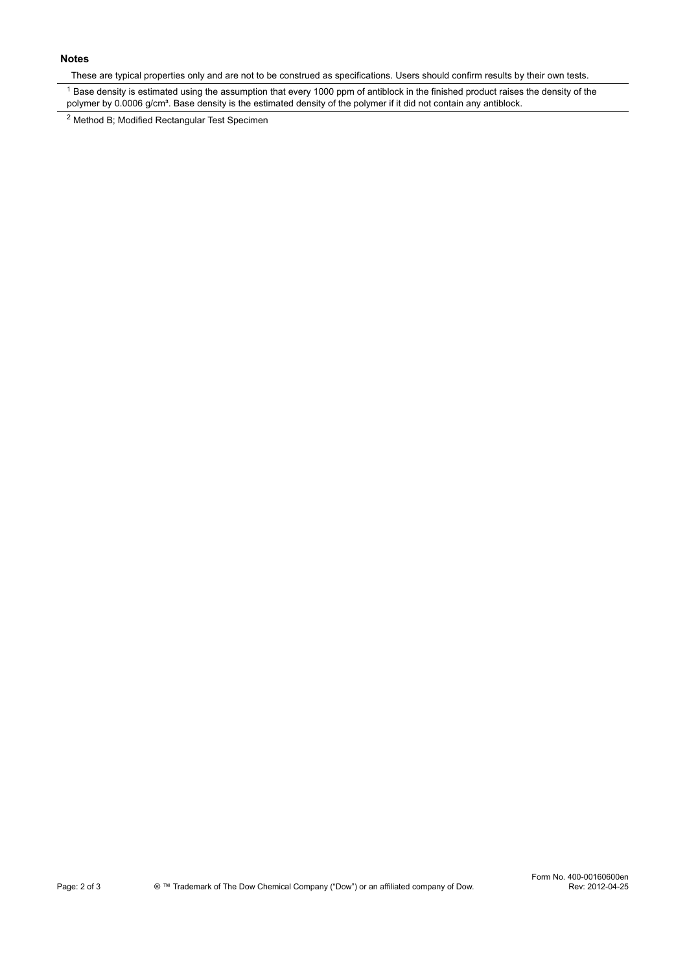## Notes

These are typical properties only and are not to be construed as specifications. Users should confirm results by their own tests.

<sup>1</sup> Base density is estimated using the assumption that every 1000 ppm of antiblock in the finished product raises the density of the polymer by 0.0006 g/cm<sup>3</sup>. Base density is the estimated density of the polymer if it did not contain any antiblock.

2 Method B; Modified Rectangular Test Specimen